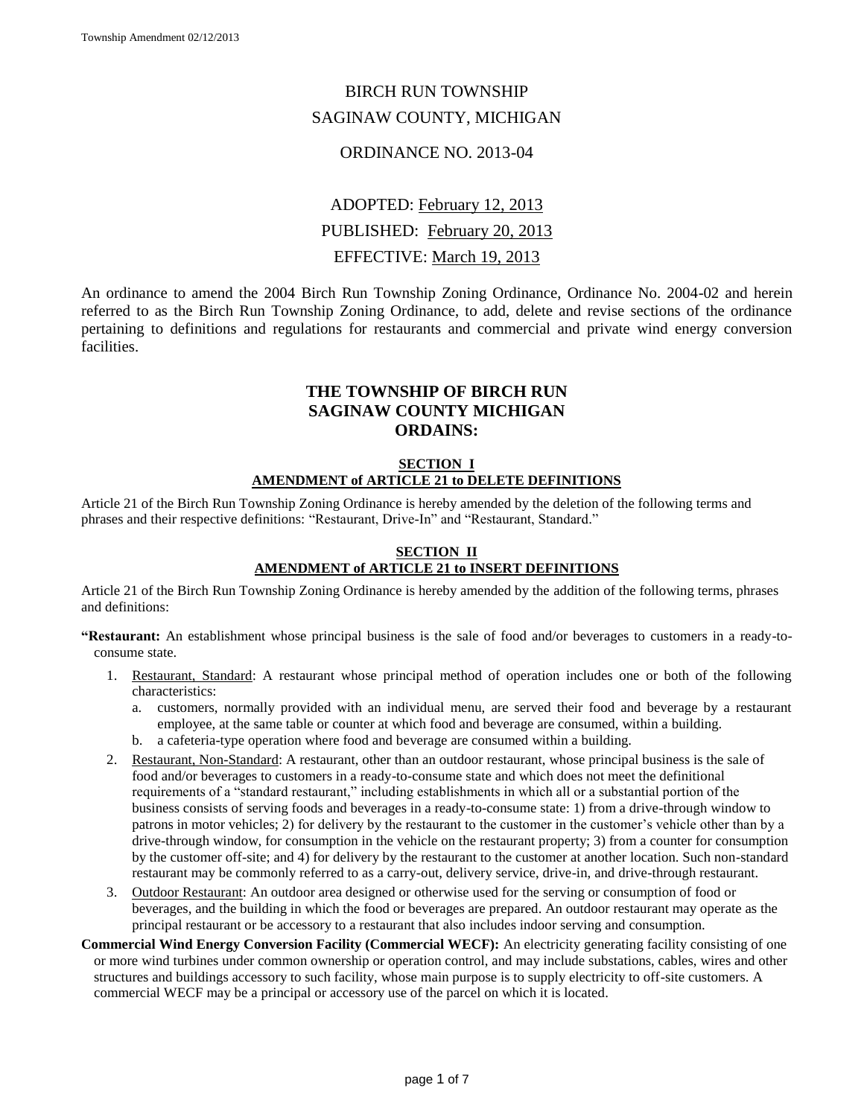## BIRCH RUN TOWNSHIP SAGINAW COUNTY, MICHIGAN

## ORDINANCE NO. 2013-04

# ADOPTED: February 12, 2013 PUBLISHED: February 20, 2013 EFFECTIVE: March 19, 2013

An ordinance to amend the 2004 Birch Run Township Zoning Ordinance, Ordinance No. 2004-02 and herein referred to as the Birch Run Township Zoning Ordinance, to add, delete and revise sections of the ordinance pertaining to definitions and regulations for restaurants and commercial and private wind energy conversion facilities.

## **THE TOWNSHIP OF BIRCH RUN SAGINAW COUNTY MICHIGAN ORDAINS:**

## **SECTION I AMENDMENT of ARTICLE 21 to DELETE DEFINITIONS**

Article 21 of the Birch Run Township Zoning Ordinance is hereby amended by the deletion of the following terms and phrases and their respective definitions: "Restaurant, Drive-In" and "Restaurant, Standard."

#### **SECTION II AMENDMENT of ARTICLE 21 to INSERT DEFINITIONS**

Article 21 of the Birch Run Township Zoning Ordinance is hereby amended by the addition of the following terms, phrases and definitions:

**"Restaurant:** An establishment whose principal business is the sale of food and/or beverages to customers in a ready-toconsume state.

- 1. Restaurant, Standard: A restaurant whose principal method of operation includes one or both of the following characteristics:
	- a. customers, normally provided with an individual menu, are served their food and beverage by a restaurant employee, at the same table or counter at which food and beverage are consumed, within a building.
	- b. a cafeteria-type operation where food and beverage are consumed within a building.
- 2. Restaurant, Non-Standard: A restaurant, other than an outdoor restaurant, whose principal business is the sale of food and/or beverages to customers in a ready-to-consume state and which does not meet the definitional requirements of a "standard restaurant," including establishments in which all or a substantial portion of the business consists of serving foods and beverages in a ready-to-consume state: 1) from a drive-through window to patrons in motor vehicles; 2) for delivery by the restaurant to the customer in the customer's vehicle other than by a drive-through window, for consumption in the vehicle on the restaurant property; 3) from a counter for consumption by the customer off-site; and 4) for delivery by the restaurant to the customer at another location. Such non-standard restaurant may be commonly referred to as a carry-out, delivery service, drive-in, and drive-through restaurant.
- 3. Outdoor Restaurant: An outdoor area designed or otherwise used for the serving or consumption of food or beverages, and the building in which the food or beverages are prepared. An outdoor restaurant may operate as the principal restaurant or be accessory to a restaurant that also includes indoor serving and consumption.
- **Commercial Wind Energy Conversion Facility (Commercial WECF):** An electricity generating facility consisting of one or more wind turbines under common ownership or operation control, and may include substations, cables, wires and other structures and buildings accessory to such facility, whose main purpose is to supply electricity to off-site customers. A commercial WECF may be a principal or accessory use of the parcel on which it is located.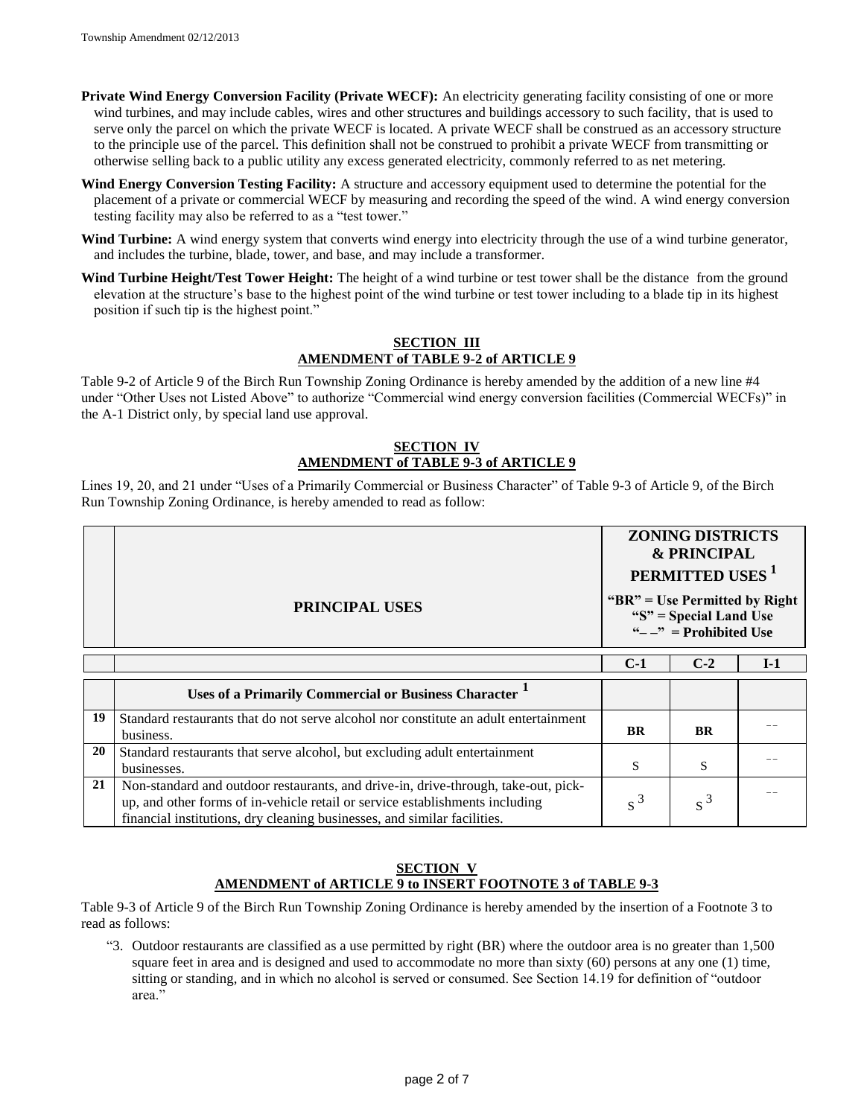**Private Wind Energy Conversion Facility (Private WECF):** An electricity generating facility consisting of one or more wind turbines, and may include cables, wires and other structures and buildings accessory to such facility, that is used to serve only the parcel on which the private WECF is located. A private WECF shall be construed as an accessory structure to the principle use of the parcel. This definition shall not be construed to prohibit a private WECF from transmitting or otherwise selling back to a public utility any excess generated electricity, commonly referred to as net metering.

- **Wind Energy Conversion Testing Facility:** A structure and accessory equipment used to determine the potential for the placement of a private or commercial WECF by measuring and recording the speed of the wind. A wind energy conversion testing facility may also be referred to as a "test tower."
- Wind Turbine: A wind energy system that converts wind energy into electricity through the use of a wind turbine generator, and includes the turbine, blade, tower, and base, and may include a transformer.
- **Wind Turbine Height/Test Tower Height:** The height of a wind turbine or test tower shall be the distance from the ground elevation at the structure's base to the highest point of the wind turbine or test tower including to a blade tip in its highest position if such tip is the highest point."

#### **SECTION III AMENDMENT of TABLE 9-2 of ARTICLE 9**

Table 9-2 of Article 9 of the Birch Run Township Zoning Ordinance is hereby amended by the addition of a new line #4 under "Other Uses not Listed Above" to authorize "Commercial wind energy conversion facilities (Commercial WECFs)" in the A-1 District only, by special land use approval.

#### **SECTION IV AMENDMENT of TABLE 9-3 of ARTICLE 9**

Lines 19, 20, and 21 under "Uses of a Primarily Commercial or Business Character" of Table 9-3 of Article 9, of the Birch Run Township Zoning Ordinance, is hereby amended to read as follow:

|    | <b>PRINCIPAL USES</b>                                                                                                                                                                                                                          | <b>ZONING DISTRICTS</b><br><b>&amp; PRINCIPAL</b><br><b>PERMITTED USES</b> <sup>1</sup><br>" $BR$ " = Use Permitted by Right<br>" $S$ " = Special Land Use<br>" $-$ " = Prohibited Use |           |       |
|----|------------------------------------------------------------------------------------------------------------------------------------------------------------------------------------------------------------------------------------------------|----------------------------------------------------------------------------------------------------------------------------------------------------------------------------------------|-----------|-------|
|    |                                                                                                                                                                                                                                                | $C-1$                                                                                                                                                                                  | $C-2$     | $I-1$ |
|    | <b>Uses of a Primarily Commercial or Business Character</b>                                                                                                                                                                                    |                                                                                                                                                                                        |           |       |
| 19 | Standard restaurants that do not serve alcohol nor constitute an adult entertainment<br>business.                                                                                                                                              | <b>BR</b>                                                                                                                                                                              | <b>BR</b> |       |
| 20 | Standard restaurants that serve alcohol, but excluding adult entertainment<br>businesses.                                                                                                                                                      | S                                                                                                                                                                                      | S         |       |
| 21 | Non-standard and outdoor restaurants, and drive-in, drive-through, take-out, pick-<br>up, and other forms of in-vehicle retail or service establishments including<br>financial institutions, dry cleaning businesses, and similar facilities. | $s^3$                                                                                                                                                                                  | $s^3$     |       |

#### **SECTION V AMENDMENT of ARTICLE 9 to INSERT FOOTNOTE 3 of TABLE 9-3**

Table 9-3 of Article 9 of the Birch Run Township Zoning Ordinance is hereby amended by the insertion of a Footnote 3 to read as follows:

"3. Outdoor restaurants are classified as a use permitted by right (BR) where the outdoor area is no greater than 1,500 square feet in area and is designed and used to accommodate no more than sixty (60) persons at any one (1) time, sitting or standing, and in which no alcohol is served or consumed. See Section 14.19 for definition of "outdoor area."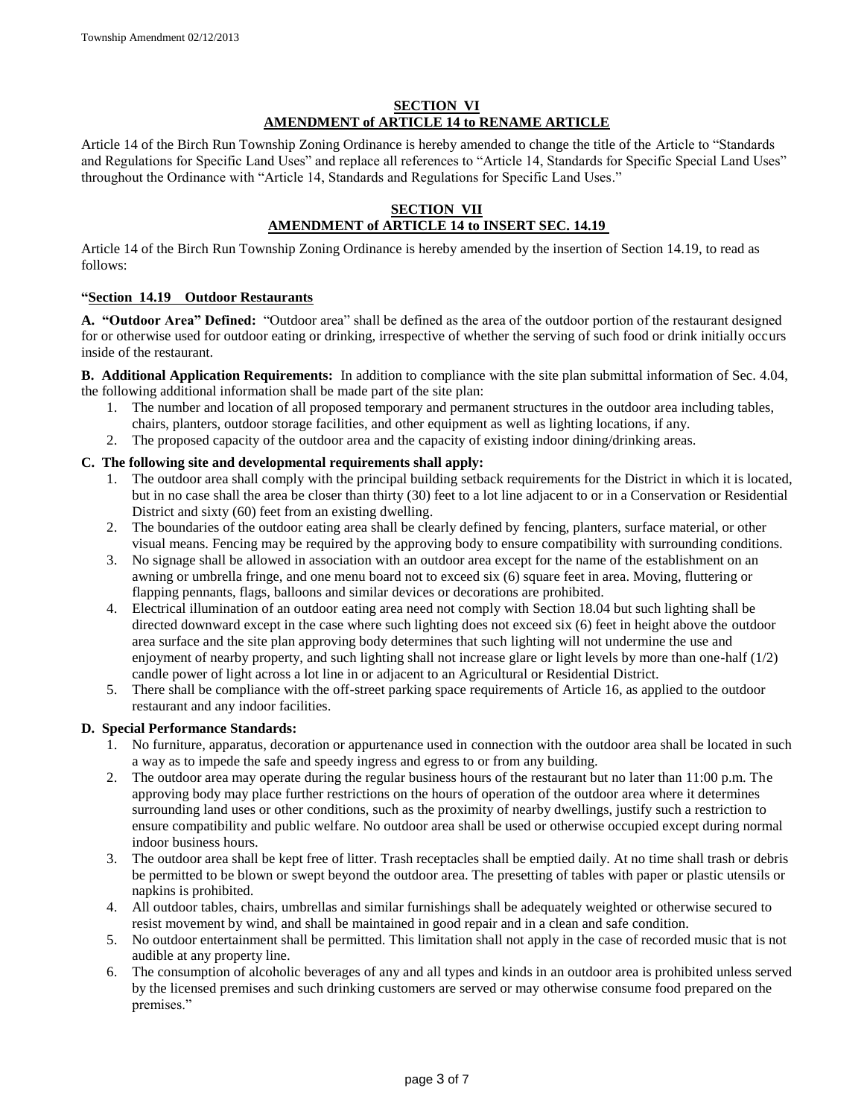#### **SECTION VI AMENDMENT of ARTICLE 14 to RENAME ARTICLE**

Article 14 of the Birch Run Township Zoning Ordinance is hereby amended to change the title of the Article to "Standards and Regulations for Specific Land Uses" and replace all references to "Article 14, Standards for Specific Special Land Uses" throughout the Ordinance with "Article 14, Standards and Regulations for Specific Land Uses."

## **SECTION VII AMENDMENT of ARTICLE 14 to INSERT SEC. 14.19**

Article 14 of the Birch Run Township Zoning Ordinance is hereby amended by the insertion of Section 14.19, to read as follows:

#### **"Section 14.19 Outdoor Restaurants**

**A. "Outdoor Area" Defined:** "Outdoor area" shall be defined as the area of the outdoor portion of the restaurant designed for or otherwise used for outdoor eating or drinking, irrespective of whether the serving of such food or drink initially occurs inside of the restaurant.

**B. Additional Application Requirements:** In addition to compliance with the site plan submittal information of Sec. 4.04, the following additional information shall be made part of the site plan:

- 1. The number and location of all proposed temporary and permanent structures in the outdoor area including tables, chairs, planters, outdoor storage facilities, and other equipment as well as lighting locations, if any.
- 2. The proposed capacity of the outdoor area and the capacity of existing indoor dining/drinking areas.

#### **C. The following site and developmental requirements shall apply:**

- 1. The outdoor area shall comply with the principal building setback requirements for the District in which it is located, but in no case shall the area be closer than thirty (30) feet to a lot line adjacent to or in a Conservation or Residential District and sixty (60) feet from an existing dwelling.
- 2. The boundaries of the outdoor eating area shall be clearly defined by fencing, planters, surface material, or other visual means. Fencing may be required by the approving body to ensure compatibility with surrounding conditions.
- 3. No signage shall be allowed in association with an outdoor area except for the name of the establishment on an awning or umbrella fringe, and one menu board not to exceed six (6) square feet in area. Moving, fluttering or flapping pennants, flags, balloons and similar devices or decorations are prohibited.
- 4. Electrical illumination of an outdoor eating area need not comply with Section 18.04 but such lighting shall be directed downward except in the case where such lighting does not exceed six (6) feet in height above the outdoor area surface and the site plan approving body determines that such lighting will not undermine the use and enjoyment of nearby property, and such lighting shall not increase glare or light levels by more than one-half (1/2) candle power of light across a lot line in or adjacent to an Agricultural or Residential District.
- 5. There shall be compliance with the off-street parking space requirements of Article 16, as applied to the outdoor restaurant and any indoor facilities.

#### **D. Special Performance Standards:**

- 1. No furniture, apparatus, decoration or appurtenance used in connection with the outdoor area shall be located in such a way as to impede the safe and speedy ingress and egress to or from any building.
- 2. The outdoor area may operate during the regular business hours of the restaurant but no later than 11:00 p.m. The approving body may place further restrictions on the hours of operation of the outdoor area where it determines surrounding land uses or other conditions, such as the proximity of nearby dwellings, justify such a restriction to ensure compatibility and public welfare. No outdoor area shall be used or otherwise occupied except during normal indoor business hours.
- 3. The outdoor area shall be kept free of litter. Trash receptacles shall be emptied daily. At no time shall trash or debris be permitted to be blown or swept beyond the outdoor area. The presetting of tables with paper or plastic utensils or napkins is prohibited.
- 4. All outdoor tables, chairs, umbrellas and similar furnishings shall be adequately weighted or otherwise secured to resist movement by wind, and shall be maintained in good repair and in a clean and safe condition.
- 5. No outdoor entertainment shall be permitted. This limitation shall not apply in the case of recorded music that is not audible at any property line.
- 6. The consumption of alcoholic beverages of any and all types and kinds in an outdoor area is prohibited unless served by the licensed premises and such drinking customers are served or may otherwise consume food prepared on the premises."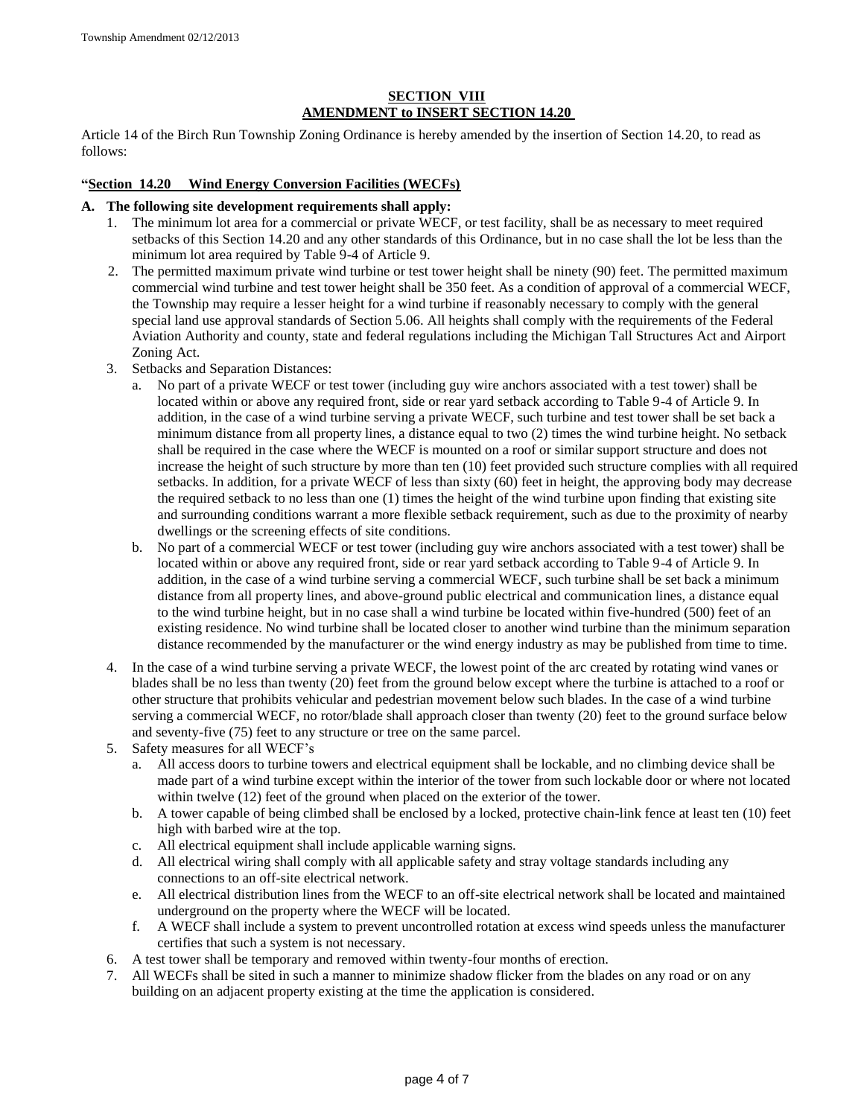## **SECTION VIII AMENDMENT to INSERT SECTION 14.20**

Article 14 of the Birch Run Township Zoning Ordinance is hereby amended by the insertion of Section 14.20, to read as follows:

#### **"Section 14.20 Wind Energy Conversion Facilities (WECFs)**

#### **A. The following site development requirements shall apply:**

- 1. The minimum lot area for a commercial or private WECF, or test facility, shall be as necessary to meet required setbacks of this Section 14.20 and any other standards of this Ordinance, but in no case shall the lot be less than the minimum lot area required by Table 9-4 of Article 9.
- 2. The permitted maximum private wind turbine or test tower height shall be ninety (90) feet. The permitted maximum commercial wind turbine and test tower height shall be 350 feet. As a condition of approval of a commercial WECF, the Township may require a lesser height for a wind turbine if reasonably necessary to comply with the general special land use approval standards of Section 5.06. All heights shall comply with the requirements of the Federal Aviation Authority and county, state and federal regulations including the Michigan Tall Structures Act and Airport Zoning Act.
- 3. Setbacks and Separation Distances:
	- a. No part of a private WECF or test tower (including guy wire anchors associated with a test tower) shall be located within or above any required front, side or rear yard setback according to Table 9-4 of Article 9. In addition, in the case of a wind turbine serving a private WECF, such turbine and test tower shall be set back a minimum distance from all property lines, a distance equal to two (2) times the wind turbine height. No setback shall be required in the case where the WECF is mounted on a roof or similar support structure and does not increase the height of such structure by more than ten (10) feet provided such structure complies with all required setbacks. In addition, for a private WECF of less than sixty (60) feet in height, the approving body may decrease the required setback to no less than one (1) times the height of the wind turbine upon finding that existing site and surrounding conditions warrant a more flexible setback requirement, such as due to the proximity of nearby dwellings or the screening effects of site conditions.
	- b. No part of a commercial WECF or test tower (including guy wire anchors associated with a test tower) shall be located within or above any required front, side or rear yard setback according to Table 9-4 of Article 9. In addition, in the case of a wind turbine serving a commercial WECF, such turbine shall be set back a minimum distance from all property lines, and above-ground public electrical and communication lines, a distance equal to the wind turbine height, but in no case shall a wind turbine be located within five-hundred (500) feet of an existing residence. No wind turbine shall be located closer to another wind turbine than the minimum separation distance recommended by the manufacturer or the wind energy industry as may be published from time to time.
- 4. In the case of a wind turbine serving a private WECF, the lowest point of the arc created by rotating wind vanes or blades shall be no less than twenty (20) feet from the ground below except where the turbine is attached to a roof or other structure that prohibits vehicular and pedestrian movement below such blades. In the case of a wind turbine serving a commercial WECF, no rotor/blade shall approach closer than twenty (20) feet to the ground surface below and seventy-five (75) feet to any structure or tree on the same parcel.
- 5. Safety measures for all WECF's
	- a. All access doors to turbine towers and electrical equipment shall be lockable, and no climbing device shall be made part of a wind turbine except within the interior of the tower from such lockable door or where not located within twelve (12) feet of the ground when placed on the exterior of the tower.
	- b. A tower capable of being climbed shall be enclosed by a locked, protective chain-link fence at least ten (10) feet high with barbed wire at the top.
	- c. All electrical equipment shall include applicable warning signs.
	- d. All electrical wiring shall comply with all applicable safety and stray voltage standards including any connections to an off-site electrical network.
	- e. All electrical distribution lines from the WECF to an off-site electrical network shall be located and maintained underground on the property where the WECF will be located.
	- f. A WECF shall include a system to prevent uncontrolled rotation at excess wind speeds unless the manufacturer certifies that such a system is not necessary.
- 6. A test tower shall be temporary and removed within twenty-four months of erection.
- 7. All WECFs shall be sited in such a manner to minimize shadow flicker from the blades on any road or on any building on an adjacent property existing at the time the application is considered.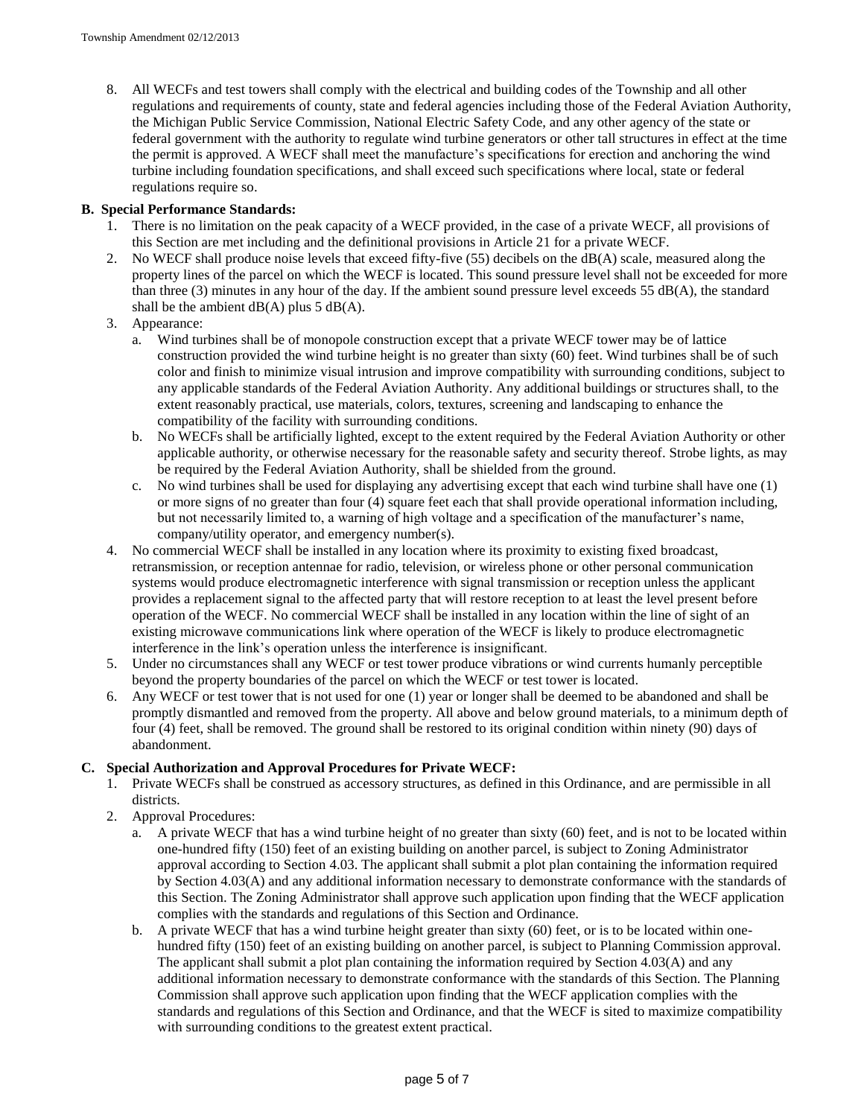8. All WECFs and test towers shall comply with the electrical and building codes of the Township and all other regulations and requirements of county, state and federal agencies including those of the Federal Aviation Authority, the Michigan Public Service Commission, National Electric Safety Code, and any other agency of the state or federal government with the authority to regulate wind turbine generators or other tall structures in effect at the time the permit is approved. A WECF shall meet the manufacture's specifications for erection and anchoring the wind turbine including foundation specifications, and shall exceed such specifications where local, state or federal regulations require so.

#### **B. Special Performance Standards:**

- 1. There is no limitation on the peak capacity of a WECF provided, in the case of a private WECF, all provisions of this Section are met including and the definitional provisions in Article 21 for a private WECF.
- 2. No WECF shall produce noise levels that exceed fifty-five (55) decibels on the dB(A) scale, measured along the property lines of the parcel on which the WECF is located. This sound pressure level shall not be exceeded for more than three (3) minutes in any hour of the day. If the ambient sound pressure level exceeds 55  $dB(A)$ , the standard shall be the ambient  $dB(A)$  plus 5  $dB(A)$ .
- 3. Appearance:
	- a. Wind turbines shall be of monopole construction except that a private WECF tower may be of lattice construction provided the wind turbine height is no greater than sixty (60) feet. Wind turbines shall be of such color and finish to minimize visual intrusion and improve compatibility with surrounding conditions, subject to any applicable standards of the Federal Aviation Authority. Any additional buildings or structures shall, to the extent reasonably practical, use materials, colors, textures, screening and landscaping to enhance the compatibility of the facility with surrounding conditions.
	- b. No WECFs shall be artificially lighted, except to the extent required by the Federal Aviation Authority or other applicable authority, or otherwise necessary for the reasonable safety and security thereof. Strobe lights, as may be required by the Federal Aviation Authority, shall be shielded from the ground.
	- c. No wind turbines shall be used for displaying any advertising except that each wind turbine shall have one (1) or more signs of no greater than four (4) square feet each that shall provide operational information including, but not necessarily limited to, a warning of high voltage and a specification of the manufacturer's name, company/utility operator, and emergency number(s).
- 4. No commercial WECF shall be installed in any location where its proximity to existing fixed broadcast, retransmission, or reception antennae for radio, television, or wireless phone or other personal communication systems would produce electromagnetic interference with signal transmission or reception unless the applicant provides a replacement signal to the affected party that will restore reception to at least the level present before operation of the WECF. No commercial WECF shall be installed in any location within the line of sight of an existing microwave communications link where operation of the WECF is likely to produce electromagnetic interference in the link's operation unless the interference is insignificant.
- 5. Under no circumstances shall any WECF or test tower produce vibrations or wind currents humanly perceptible beyond the property boundaries of the parcel on which the WECF or test tower is located.
- 6. Any WECF or test tower that is not used for one (1) year or longer shall be deemed to be abandoned and shall be promptly dismantled and removed from the property. All above and below ground materials, to a minimum depth of four (4) feet, shall be removed. The ground shall be restored to its original condition within ninety (90) days of abandonment.

#### **C. Special Authorization and Approval Procedures for Private WECF:**

- 1. Private WECFs shall be construed as accessory structures, as defined in this Ordinance, and are permissible in all districts.
- 2. Approval Procedures:
	- a. A private WECF that has a wind turbine height of no greater than sixty (60) feet, and is not to be located within one-hundred fifty (150) feet of an existing building on another parcel, is subject to Zoning Administrator approval according to Section 4.03. The applicant shall submit a plot plan containing the information required by Section 4.03(A) and any additional information necessary to demonstrate conformance with the standards of this Section. The Zoning Administrator shall approve such application upon finding that the WECF application complies with the standards and regulations of this Section and Ordinance.
	- b. A private WECF that has a wind turbine height greater than sixty (60) feet, or is to be located within onehundred fifty (150) feet of an existing building on another parcel, is subject to Planning Commission approval. The applicant shall submit a plot plan containing the information required by Section 4.03(A) and any additional information necessary to demonstrate conformance with the standards of this Section. The Planning Commission shall approve such application upon finding that the WECF application complies with the standards and regulations of this Section and Ordinance, and that the WECF is sited to maximize compatibility with surrounding conditions to the greatest extent practical.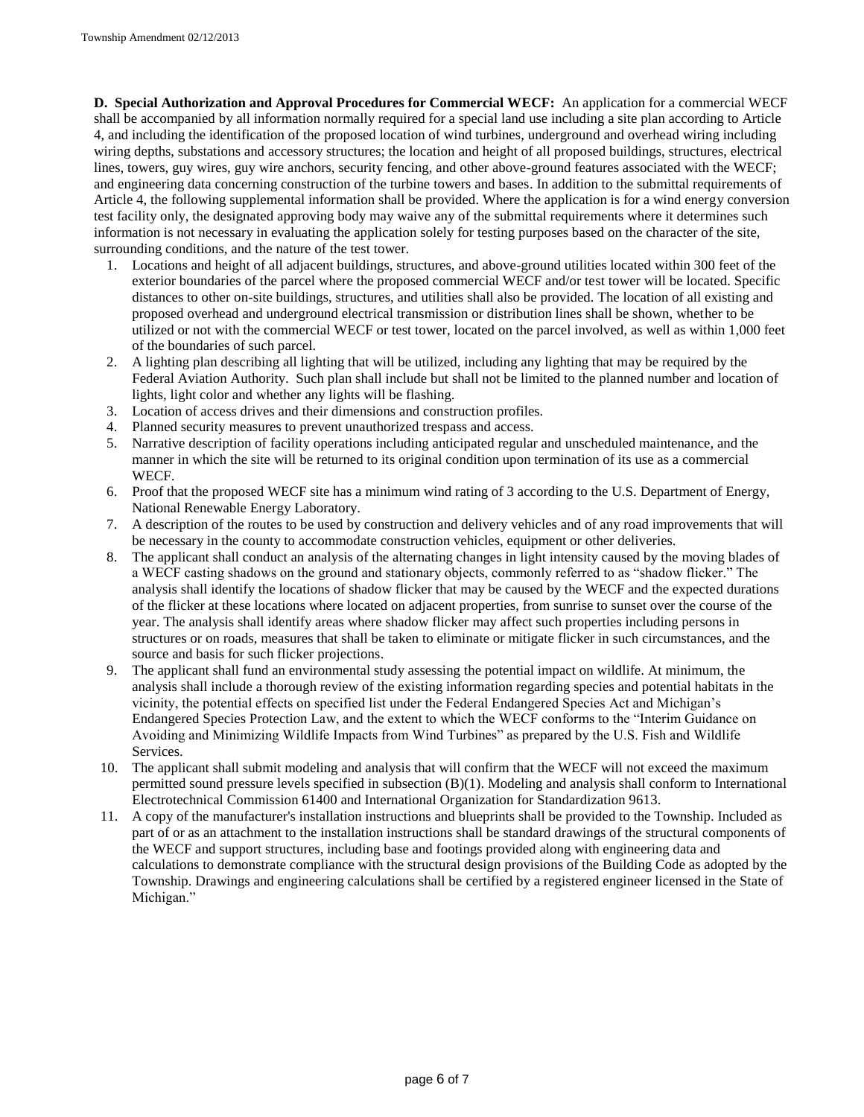**D. Special Authorization and Approval Procedures for Commercial WECF:** An application for a commercial WECF shall be accompanied by all information normally required for a special land use including a site plan according to Article 4, and including the identification of the proposed location of wind turbines, underground and overhead wiring including wiring depths, substations and accessory structures; the location and height of all proposed buildings, structures, electrical lines, towers, guy wires, guy wire anchors, security fencing, and other above-ground features associated with the WECF; and engineering data concerning construction of the turbine towers and bases. In addition to the submittal requirements of Article 4, the following supplemental information shall be provided. Where the application is for a wind energy conversion test facility only, the designated approving body may waive any of the submittal requirements where it determines such information is not necessary in evaluating the application solely for testing purposes based on the character of the site, surrounding conditions, and the nature of the test tower.

- 1. Locations and height of all adjacent buildings, structures, and above-ground utilities located within 300 feet of the exterior boundaries of the parcel where the proposed commercial WECF and/or test tower will be located. Specific distances to other on-site buildings, structures, and utilities shall also be provided. The location of all existing and proposed overhead and underground electrical transmission or distribution lines shall be shown, whether to be utilized or not with the commercial WECF or test tower, located on the parcel involved, as well as within 1,000 feet of the boundaries of such parcel.
- 2. A lighting plan describing all lighting that will be utilized, including any lighting that may be required by the Federal Aviation Authority. Such plan shall include but shall not be limited to the planned number and location of lights, light color and whether any lights will be flashing.
- 3. Location of access drives and their dimensions and construction profiles.
- 4. Planned security measures to prevent unauthorized trespass and access.
- 5. Narrative description of facility operations including anticipated regular and unscheduled maintenance, and the manner in which the site will be returned to its original condition upon termination of its use as a commercial WECF.
- 6. Proof that the proposed WECF site has a minimum wind rating of 3 according to the U.S. Department of Energy, National Renewable Energy Laboratory.
- 7. A description of the routes to be used by construction and delivery vehicles and of any road improvements that will be necessary in the county to accommodate construction vehicles, equipment or other deliveries.
- 8. The applicant shall conduct an analysis of the alternating changes in light intensity caused by the moving blades of a WECF casting shadows on the ground and stationary objects, commonly referred to as "shadow flicker." The analysis shall identify the locations of shadow flicker that may be caused by the WECF and the expected durations of the flicker at these locations where located on adjacent properties, from sunrise to sunset over the course of the year. The analysis shall identify areas where shadow flicker may affect such properties including persons in structures or on roads, measures that shall be taken to eliminate or mitigate flicker in such circumstances, and the source and basis for such flicker projections.
- 9. The applicant shall fund an environmental study assessing the potential impact on wildlife. At minimum, the analysis shall include a thorough review of the existing information regarding species and potential habitats in the vicinity, the potential effects on specified list under the Federal Endangered Species Act and Michigan's Endangered Species Protection Law, and the extent to which the WECF conforms to the "Interim Guidance on Avoiding and Minimizing Wildlife Impacts from Wind Turbines" as prepared by the U.S. Fish and Wildlife Services.
- 10. The applicant shall submit modeling and analysis that will confirm that the WECF will not exceed the maximum permitted sound pressure levels specified in subsection (B)(1). Modeling and analysis shall conform to International Electrotechnical Commission 61400 and International Organization for Standardization 9613.
- 11. A copy of the manufacturer's installation instructions and blueprints shall be provided to the Township. Included as part of or as an attachment to the installation instructions shall be standard drawings of the structural components of the WECF and support structures, including base and footings provided along with engineering data and calculations to demonstrate compliance with the structural design provisions of the Building Code as adopted by the Township. Drawings and engineering calculations shall be certified by a registered engineer licensed in the State of Michigan."